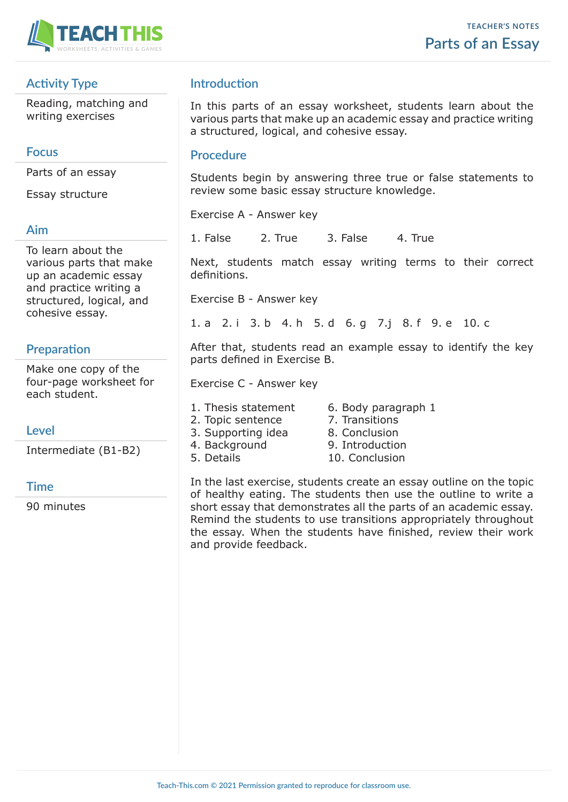

## **Activity Type**

Reading, matching and writing exercises

#### **Focus**

Parts of an essay

Essay structure

#### **Aim**

To learn about the various parts that make up an academic essay and practice writing a structured, logical, and cohesive essay.

# **Preparation**

Make one copy of the four-page worksheet for each student.

### **Level**

Intermediate (B1-B2)

### **Time**

90 minutes

## **Introduction**

In this parts of an essay worksheet, students learn about the various parts that make up an academic essay and practice writing a structured, logical, and cohesive essay.

#### **Procedure**

Students begin by answering three true or false statements to review some basic essay structure knowledge.

Exercise A - Answer key

1. False 2. True 3. False 4. True

Next, students match essay writing terms to their correct definitions.

Exercise B - Answer key

1. a 2. i 3. b 4. h 5. d 6. g 7.j 8. f 9. e 10. c

After that, students read an example essay to identify the key parts defined in Exercise B.

Exercise C - Answer key

1. Thesis statement 6. Body paragraph 1

- 2. Topic sentence 7. Transitions
- 3. Supporting idea 8. Conclusion
- 4. Background 9. Introduction
- 
- 
- 
- 
- 
- 5. Details 10. Conclusion

In the last exercise, students create an essay outline on the topic of healthy eating. The students then use the outline to write a short essay that demonstrates all the parts of an academic essay. Remind the students to use transitions appropriately throughout the essay. When the students have finished, review their work and provide feedback.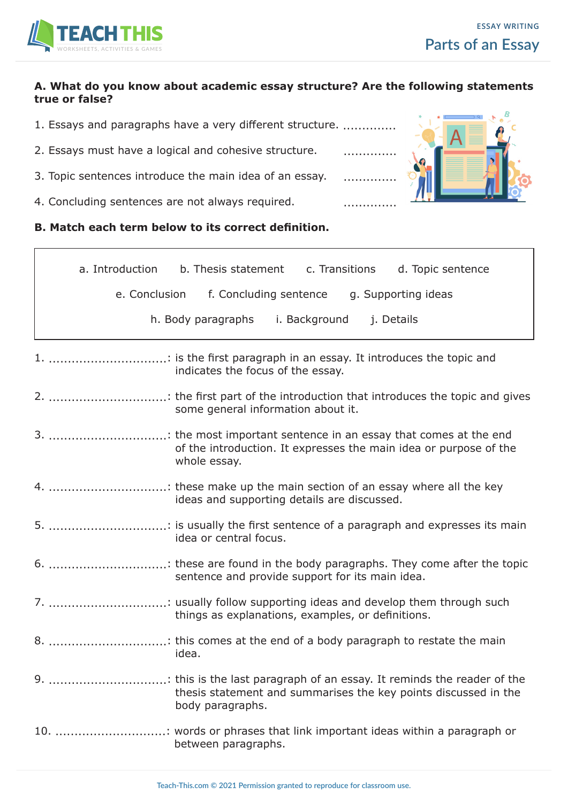

#### **A. What do you know about academic essay structure? Are the following statements true or false?**

- 1. Essays and paragraphs have a very different structure. ..............
- 2. Essays must have a logical and cohesive structure. .................
- 3. Topic sentences introduce the main idea of an essay. .............
- 4. Concluding sentences are not always required. ................................



**B. Match each term below to its correct definition.**

|    | a. Introduction<br>c. Transitions<br>d. Topic sentence<br>b. Thesis statement                                           |
|----|-------------------------------------------------------------------------------------------------------------------------|
|    | e. Conclusion f. Concluding sentence g. Supporting ideas                                                                |
|    | h. Body paragraphs<br>i. Background<br>j. Details                                                                       |
|    | 1. : is the first paragraph in an essay. It introduces the topic and<br>indicates the focus of the essay.               |
|    | some general information about it.                                                                                      |
|    | of the introduction. It expresses the main idea or purpose of the<br>whole essay.                                       |
|    | ideas and supporting details are discussed.                                                                             |
|    | idea or central focus.                                                                                                  |
|    | sentence and provide support for its main idea.                                                                         |
|    | 7. : usually follow supporting ideas and develop them through such<br>things as explanations, examples, or definitions. |
|    | idea.                                                                                                                   |
| 9. | thesis statement and summarises the key points discussed in the<br>body paragraphs.                                     |
|    | 10. : words or phrases that link important ideas within a paragraph or<br>between paragraphs.                           |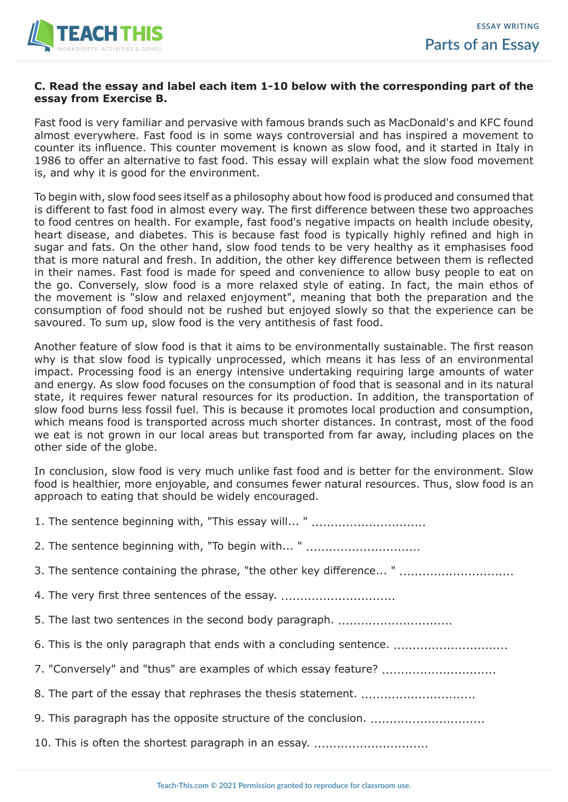

#### **C. Read the essay and label each item 1-10 below with the corresponding part of the essay from Exercise B.**

Fast food is very familiar and pervasive with famous brands such as MacDonald's and KFC found almost everywhere. Fast food is in some ways controversial and has inspired a movement to counter its influence. This counter movement is known as slow food, and it started in Italy in 1986 to offer an alternative to fast food. This essay will explain what the slow food movement is, and why it is good for the environment.

To begin with, slow food sees itself as a philosophy about how food is produced and consumed that is different to fast food in almost every way. The first difference between these two approaches to food centres on health. For example, fast food's negative impacts on health include obesity, heart disease, and diabetes. This is because fast food is typically highly refined and high in sugar and fats. On the other hand, slow food tends to be very healthy as it emphasises food that is more natural and fresh. In addition, the other key difference between them is reflected in their names. Fast food is made for speed and convenience to allow busy people to eat on the go. Conversely, slow food is a more relaxed style of eating. In fact, the main ethos of the movement is "slow and relaxed enjoyment", meaning that both the preparation and the consumption of food should not be rushed but enjoyed slowly so that the experience can be savoured. To sum up, slow food is the very antithesis of fast food.

Another feature of slow food is that it aims to be environmentally sustainable. The first reason why is that slow food is typically unprocessed, which means it has less of an environmental impact. Processing food is an energy intensive undertaking requiring large amounts of water and energy. As slow food focuses on the consumption of food that is seasonal and in its natural state, it requires fewer natural resources for its production. In addition, the transportation of slow food burns less fossil fuel. This is because it promotes local production and consumption, which means food is transported across much shorter distances. In contrast, most of the food we eat is not grown in our local areas but transported from far away, including places on the other side of the globe.

In conclusion, slow food is very much unlike fast food and is better for the environment. Slow food is healthier, more enjoyable, and consumes fewer natural resources. Thus, slow food is an approach to eating that should be widely encouraged.

| 2. The sentence beginning with, "To begin with "                    |
|---------------------------------------------------------------------|
| 3. The sentence containing the phrase, "the other key difference "  |
| 4. The very first three sentences of the essay.                     |
| 5. The last two sentences in the second body paragraph.             |
| 6. This is the only paragraph that ends with a concluding sentence. |
|                                                                     |
|                                                                     |
|                                                                     |
| 10. This is often the shortest paragraph in an essay.               |
|                                                                     |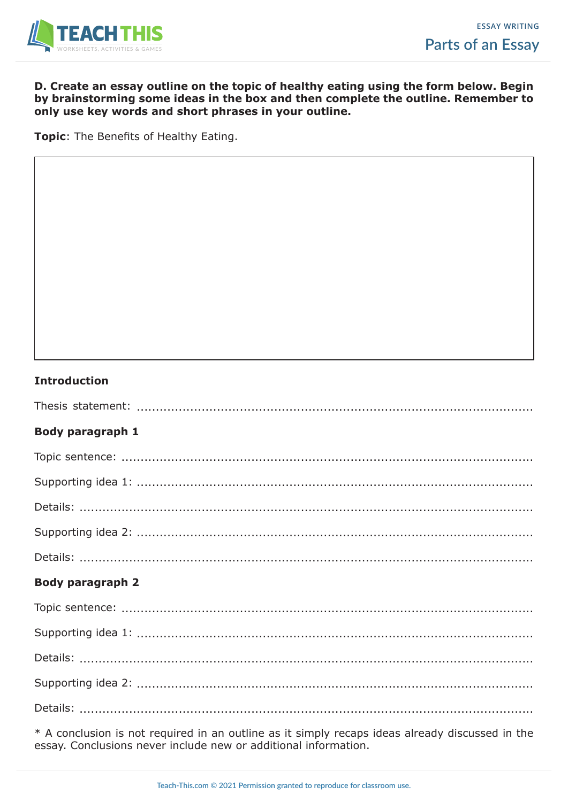

#### **D. Create an essay outline on the topic of healthy eating using the form below. Begin by brainstorming some ideas in the box and then complete the outline. Remember to only use key words and short phrases in your outline.**

**Topic**: The Benefits of Healthy Eating.

#### **Introduction**

| <b>Body paragraph 1</b> |
|-------------------------|
|                         |
|                         |
|                         |
|                         |
|                         |
| <b>Body paragraph 2</b> |
|                         |
|                         |
|                         |
|                         |
|                         |

\* A conclusion is not required in an outline as it simply recaps ideas already discussed in the essay. Conclusions never include new or additional information.